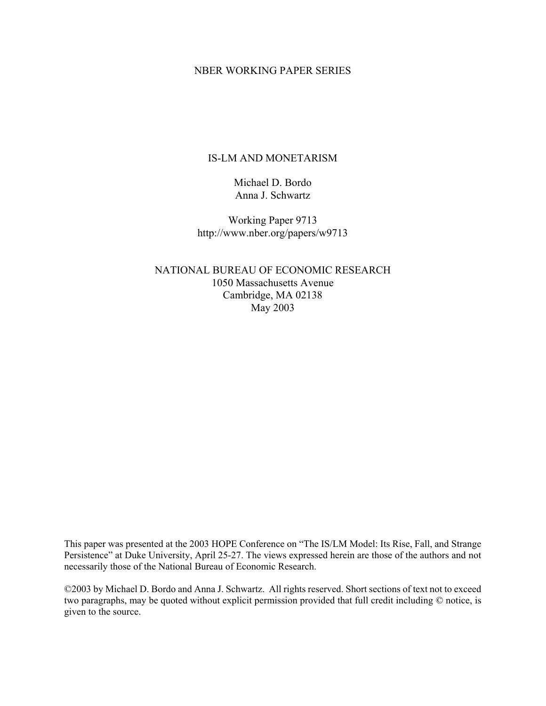# NBER WORKING PAPER SERIES

# IS-LM AND MONETARISM

Michael D. Bordo Anna J. Schwartz

Working Paper 9713 http://www.nber.org/papers/w9713

NATIONAL BUREAU OF ECONOMIC RESEARCH 1050 Massachusetts Avenue Cambridge, MA 02138 May 2003

This paper was presented at the 2003 HOPE Conference on "The IS/LM Model: Its Rise, Fall, and Strange Persistence" at Duke University, April 25-27. The views expressed herein are those of the authors and not necessarily those of the National Bureau of Economic Research.

©2003 by Michael D. Bordo and Anna J. Schwartz. All rights reserved. Short sections of text not to exceed two paragraphs, may be quoted without explicit permission provided that full credit including © notice, is given to the source.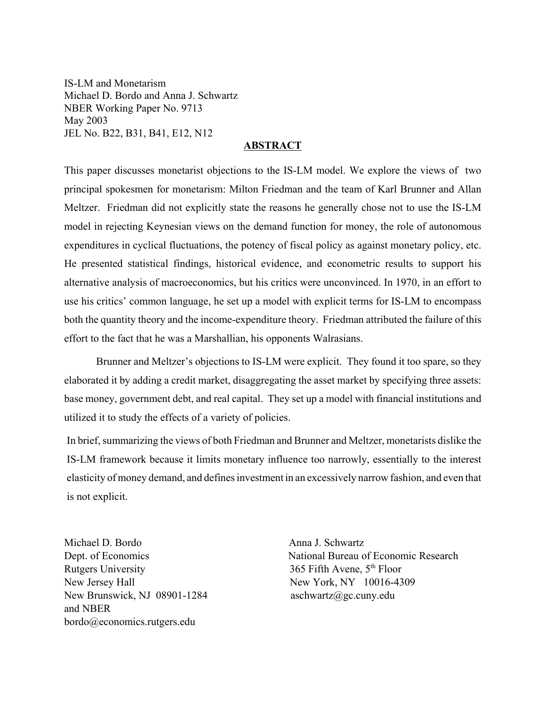IS-LM and Monetarism Michael D. Bordo and Anna J. Schwartz NBER Working Paper No. 9713 May 2003 JEL No. B22, B31, B41, E12, N12

## **ABSTRACT**

This paper discusses monetarist objections to the IS-LM model. We explore the views of two principal spokesmen for monetarism: Milton Friedman and the team of Karl Brunner and Allan Meltzer. Friedman did not explicitly state the reasons he generally chose not to use the IS-LM model in rejecting Keynesian views on the demand function for money, the role of autonomous expenditures in cyclical fluctuations, the potency of fiscal policy as against monetary policy, etc. He presented statistical findings, historical evidence, and econometric results to support his alternative analysis of macroeconomics, but his critics were unconvinced. In 1970, in an effort to use his critics' common language, he set up a model with explicit terms for IS-LM to encompass both the quantity theory and the income-expenditure theory. Friedman attributed the failure of this effort to the fact that he was a Marshallian, his opponents Walrasians.

Brunner and Meltzer's objections to IS-LM were explicit. They found it too spare, so they elaborated it by adding a credit market, disaggregating the asset market by specifying three assets: base money, government debt, and real capital. They set up a model with financial institutions and utilized it to study the effects of a variety of policies.

In brief, summarizing the views of both Friedman and Brunner and Meltzer, monetarists dislike the IS-LM framework because it limits monetary influence too narrowly, essentially to the interest elasticity of money demand, and defines investment in an excessively narrow fashion, and even that is not explicit.

Michael D. Bordo Anna J. Schwartz Rutgers University 365 Fifth Avene, 5<sup>th</sup> Floor New Jersey Hall New York, NY 10016-4309 New Brunswick, NJ 08901-1284 aschwartz@gc.cuny.edu and NBER bordo@economics.rutgers.edu

Dept. of Economics National Bureau of Economic Research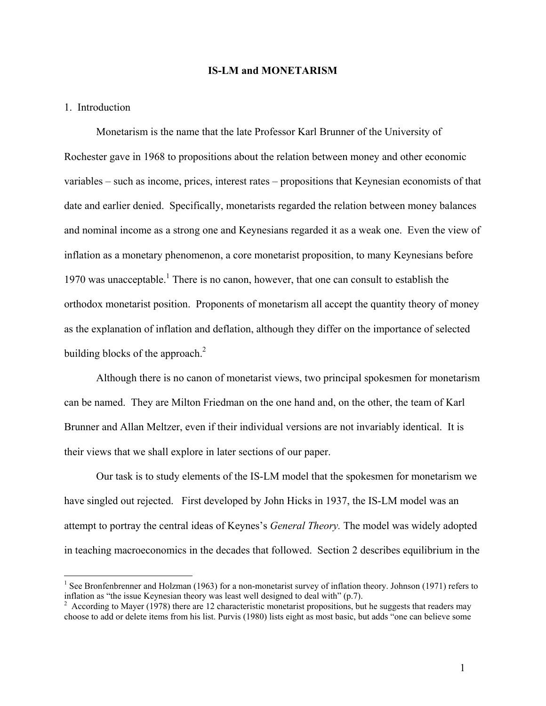#### **IS-LM and MONETARISM**

## 1. Introduction

<u>.</u>

Monetarism is the name that the late Professor Karl Brunner of the University of Rochester gave in 1968 to propositions about the relation between money and other economic variables – such as income, prices, interest rates – propositions that Keynesian economists of that date and earlier denied. Specifically, monetarists regarded the relation between money balances and nominal income as a strong one and Keynesians regarded it as a weak one. Even the view of inflation as a monetary phenomenon, a core monetarist proposition, to many Keynesians before 1970 was unacceptable.<sup>1</sup> There is no canon, however, that one can consult to establish the orthodox monetarist position. Proponents of monetarism all accept the quantity theory of money as the explanation of inflation and deflation, although they differ on the importance of selected building blocks of the approach.<sup>2</sup>

Although there is no canon of monetarist views, two principal spokesmen for monetarism can be named. They are Milton Friedman on the one hand and, on the other, the team of Karl Brunner and Allan Meltzer, even if their individual versions are not invariably identical. It is their views that we shall explore in later sections of our paper.

Our task is to study elements of the IS-LM model that the spokesmen for monetarism we have singled out rejected. First developed by John Hicks in 1937, the IS-LM model was an attempt to portray the central ideas of Keynes's *General Theory.* The model was widely adopted in teaching macroeconomics in the decades that followed. Section 2 describes equilibrium in the

<sup>&</sup>lt;sup>1</sup> See Bronfenbrenner and Holzman (1963) for a non-monetarist survey of inflation theory. Johnson (1971) refers to inflation as "the issue Keynesian theory was least well designed to deal with" (p.7).

 $2 \text{ According to Mayer (1978)}$  there are 12 characteristic monetarist propositions, but he suggests that readers may choose to add or delete items from his list. Purvis (1980) lists eight as most basic, but adds "one can believe some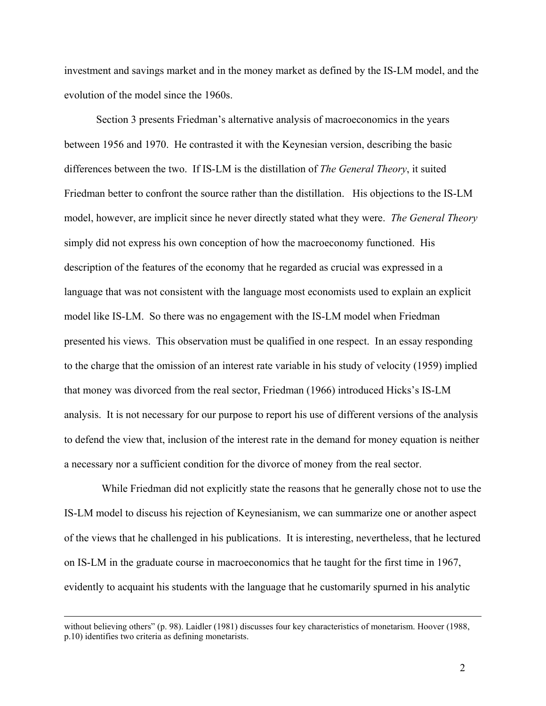investment and savings market and in the money market as defined by the IS-LM model, and the evolution of the model since the 1960s.

Section 3 presents Friedman's alternative analysis of macroeconomics in the years between 1956 and 1970. He contrasted it with the Keynesian version, describing the basic differences between the two. If IS-LM is the distillation of *The General Theory*, it suited Friedman better to confront the source rather than the distillation. His objections to the IS-LM model, however, are implicit since he never directly stated what they were. *The General Theory* simply did not express his own conception of how the macroeconomy functioned. His description of the features of the economy that he regarded as crucial was expressed in a language that was not consistent with the language most economists used to explain an explicit model like IS-LM. So there was no engagement with the IS-LM model when Friedman presented his views. This observation must be qualified in one respect. In an essay responding to the charge that the omission of an interest rate variable in his study of velocity (1959) implied that money was divorced from the real sector, Friedman (1966) introduced Hicks's IS-LM analysis. It is not necessary for our purpose to report his use of different versions of the analysis to defend the view that, inclusion of the interest rate in the demand for money equation is neither a necessary nor a sufficient condition for the divorce of money from the real sector.

 While Friedman did not explicitly state the reasons that he generally chose not to use the IS-LM model to discuss his rejection of Keynesianism, we can summarize one or another aspect of the views that he challenged in his publications. It is interesting, nevertheless, that he lectured on IS-LM in the graduate course in macroeconomics that he taught for the first time in 1967, evidently to acquaint his students with the language that he customarily spurned in his analytic

without believing others" (p. 98). Laidler (1981) discusses four key characteristics of monetarism. Hoover (1988, p.10) identifies two criteria as defining monetarists.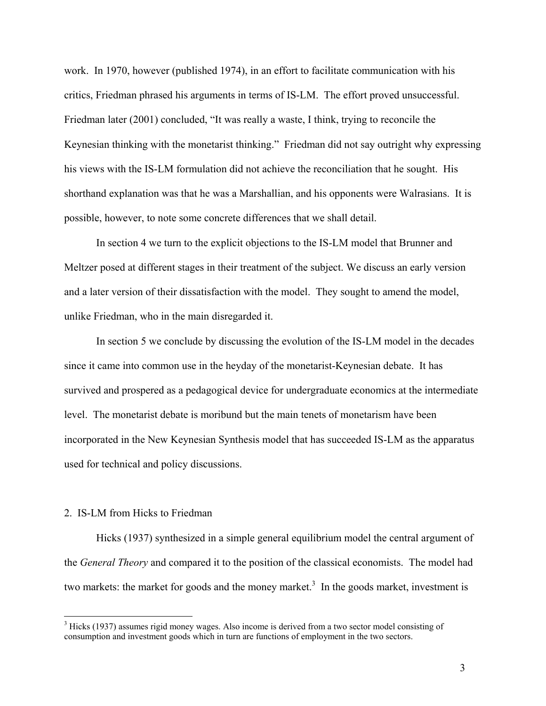work. In 1970, however (published 1974), in an effort to facilitate communication with his critics, Friedman phrased his arguments in terms of IS-LM. The effort proved unsuccessful. Friedman later (2001) concluded, "It was really a waste, I think, trying to reconcile the Keynesian thinking with the monetarist thinking." Friedman did not say outright why expressing his views with the IS-LM formulation did not achieve the reconciliation that he sought. His shorthand explanation was that he was a Marshallian, and his opponents were Walrasians. It is possible, however, to note some concrete differences that we shall detail.

In section 4 we turn to the explicit objections to the IS-LM model that Brunner and Meltzer posed at different stages in their treatment of the subject. We discuss an early version and a later version of their dissatisfaction with the model. They sought to amend the model, unlike Friedman, who in the main disregarded it.

In section 5 we conclude by discussing the evolution of the IS-LM model in the decades since it came into common use in the heyday of the monetarist-Keynesian debate. It has survived and prospered as a pedagogical device for undergraduate economics at the intermediate level. The monetarist debate is moribund but the main tenets of monetarism have been incorporated in the New Keynesian Synthesis model that has succeeded IS-LM as the apparatus used for technical and policy discussions.

## 2. IS-LM from Hicks to Friedman

Hicks (1937) synthesized in a simple general equilibrium model the central argument of the *General Theory* and compared it to the position of the classical economists. The model had two markets: the market for goods and the money market.<sup>3</sup> In the goods market, investment is

<sup>&</sup>lt;sup>3</sup> Hicks (1937) assumes rigid money wages. Also income is derived from a two sector model consisting of consumption and investment goods which in turn are functions of employment in the two sectors.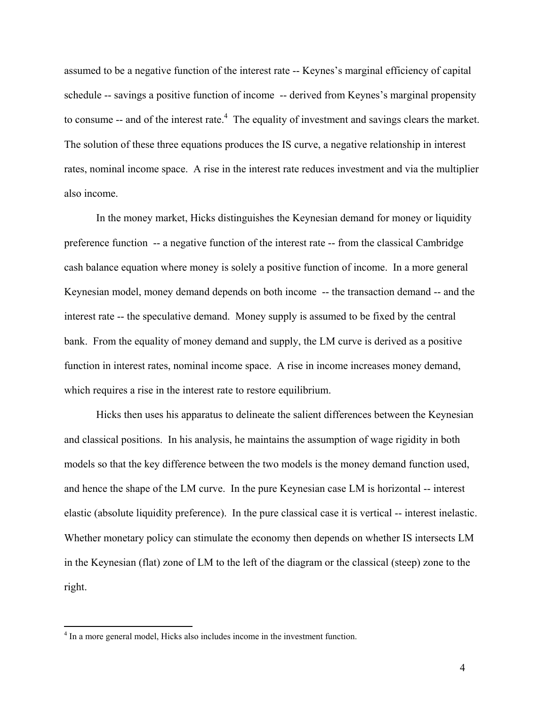assumed to be a negative function of the interest rate -- Keynes's marginal efficiency of capital schedule -- savings a positive function of income -- derived from Keynes's marginal propensity to consume  $-$  and of the interest rate.<sup>4</sup> The equality of investment and savings clears the market. The solution of these three equations produces the IS curve, a negative relationship in interest rates, nominal income space. A rise in the interest rate reduces investment and via the multiplier also income.

In the money market, Hicks distinguishes the Keynesian demand for money or liquidity preference function -- a negative function of the interest rate -- from the classical Cambridge cash balance equation where money is solely a positive function of income. In a more general Keynesian model, money demand depends on both income -- the transaction demand -- and the interest rate -- the speculative demand. Money supply is assumed to be fixed by the central bank. From the equality of money demand and supply, the LM curve is derived as a positive function in interest rates, nominal income space. A rise in income increases money demand, which requires a rise in the interest rate to restore equilibrium.

Hicks then uses his apparatus to delineate the salient differences between the Keynesian and classical positions. In his analysis, he maintains the assumption of wage rigidity in both models so that the key difference between the two models is the money demand function used, and hence the shape of the LM curve. In the pure Keynesian case LM is horizontal -- interest elastic (absolute liquidity preference). In the pure classical case it is vertical -- interest inelastic. Whether monetary policy can stimulate the economy then depends on whether IS intersects LM in the Keynesian (flat) zone of LM to the left of the diagram or the classical (steep) zone to the right.

<sup>&</sup>lt;sup>4</sup> In a more general model, Hicks also includes income in the investment function.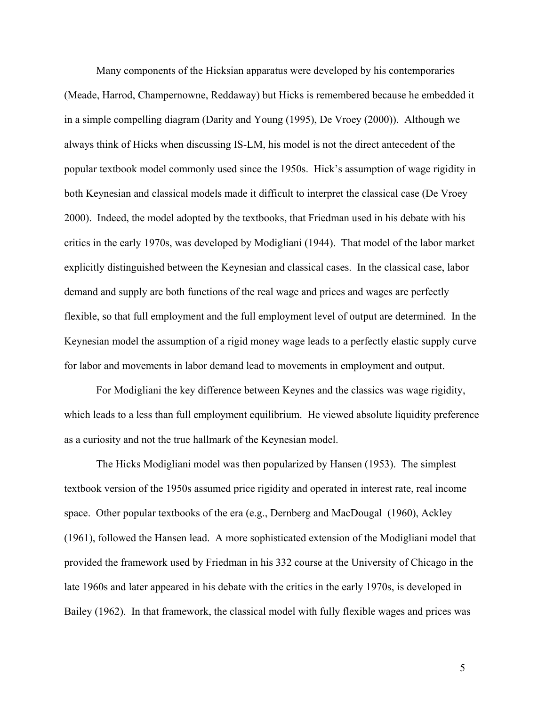Many components of the Hicksian apparatus were developed by his contemporaries (Meade, Harrod, Champernowne, Reddaway) but Hicks is remembered because he embedded it in a simple compelling diagram (Darity and Young (1995), De Vroey (2000)). Although we always think of Hicks when discussing IS-LM, his model is not the direct antecedent of the popular textbook model commonly used since the 1950s. Hick's assumption of wage rigidity in both Keynesian and classical models made it difficult to interpret the classical case (De Vroey 2000). Indeed, the model adopted by the textbooks, that Friedman used in his debate with his critics in the early 1970s, was developed by Modigliani (1944). That model of the labor market explicitly distinguished between the Keynesian and classical cases. In the classical case, labor demand and supply are both functions of the real wage and prices and wages are perfectly flexible, so that full employment and the full employment level of output are determined. In the Keynesian model the assumption of a rigid money wage leads to a perfectly elastic supply curve for labor and movements in labor demand lead to movements in employment and output.

 For Modigliani the key difference between Keynes and the classics was wage rigidity, which leads to a less than full employment equilibrium. He viewed absolute liquidity preference as a curiosity and not the true hallmark of the Keynesian model.

 The Hicks Modigliani model was then popularized by Hansen (1953). The simplest textbook version of the 1950s assumed price rigidity and operated in interest rate, real income space. Other popular textbooks of the era (e.g., Dernberg and MacDougal (1960), Ackley (1961), followed the Hansen lead. A more sophisticated extension of the Modigliani model that provided the framework used by Friedman in his 332 course at the University of Chicago in the late 1960s and later appeared in his debate with the critics in the early 1970s, is developed in Bailey (1962). In that framework, the classical model with fully flexible wages and prices was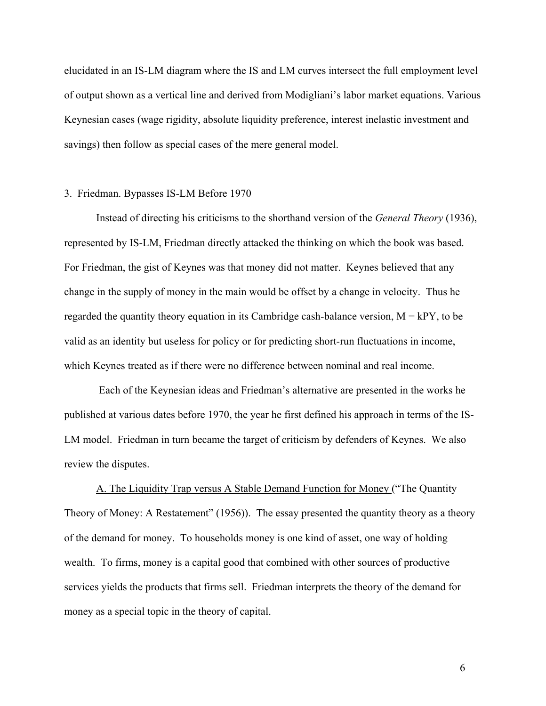elucidated in an IS-LM diagram where the IS and LM curves intersect the full employment level of output shown as a vertical line and derived from Modigliani's labor market equations. Various Keynesian cases (wage rigidity, absolute liquidity preference, interest inelastic investment and savings) then follow as special cases of the mere general model.

# 3. Friedman. Bypasses IS-LM Before 1970

 Instead of directing his criticisms to the shorthand version of the *General Theory* (1936), represented by IS-LM, Friedman directly attacked the thinking on which the book was based. For Friedman, the gist of Keynes was that money did not matter. Keynes believed that any change in the supply of money in the main would be offset by a change in velocity. Thus he regarded the quantity theory equation in its Cambridge cash-balance version,  $M = kPY$ , to be valid as an identity but useless for policy or for predicting short-run fluctuations in income, which Keynes treated as if there were no difference between nominal and real income.

 Each of the Keynesian ideas and Friedman's alternative are presented in the works he published at various dates before 1970, the year he first defined his approach in terms of the IS-LM model. Friedman in turn became the target of criticism by defenders of Keynes. We also review the disputes.

A. The Liquidity Trap versus A Stable Demand Function for Money ("The Quantity Theory of Money: A Restatement" (1956)). The essay presented the quantity theory as a theory of the demand for money. To households money is one kind of asset, one way of holding wealth. To firms, money is a capital good that combined with other sources of productive services yields the products that firms sell. Friedman interprets the theory of the demand for money as a special topic in the theory of capital.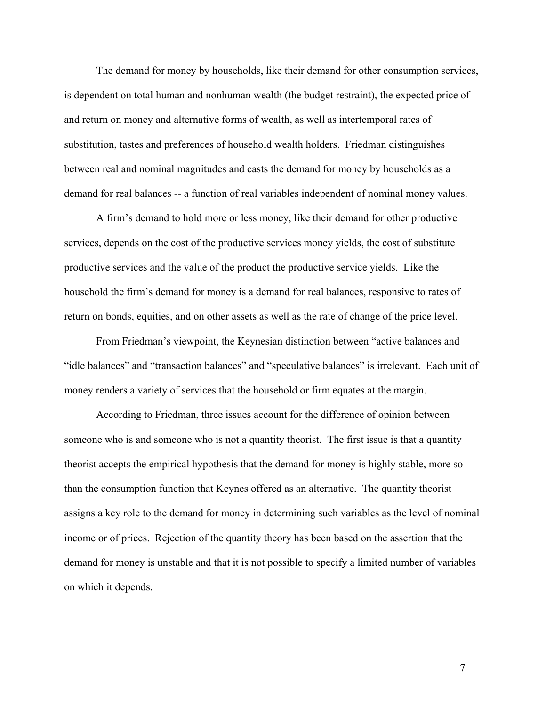The demand for money by households, like their demand for other consumption services, is dependent on total human and nonhuman wealth (the budget restraint), the expected price of and return on money and alternative forms of wealth, as well as intertemporal rates of substitution, tastes and preferences of household wealth holders. Friedman distinguishes between real and nominal magnitudes and casts the demand for money by households as a demand for real balances -- a function of real variables independent of nominal money values.

A firm's demand to hold more or less money, like their demand for other productive services, depends on the cost of the productive services money yields, the cost of substitute productive services and the value of the product the productive service yields. Like the household the firm's demand for money is a demand for real balances, responsive to rates of return on bonds, equities, and on other assets as well as the rate of change of the price level.

From Friedman's viewpoint, the Keynesian distinction between "active balances and "idle balances" and "transaction balances" and "speculative balances" is irrelevant. Each unit of money renders a variety of services that the household or firm equates at the margin.

According to Friedman, three issues account for the difference of opinion between someone who is and someone who is not a quantity theorist. The first issue is that a quantity theorist accepts the empirical hypothesis that the demand for money is highly stable, more so than the consumption function that Keynes offered as an alternative. The quantity theorist assigns a key role to the demand for money in determining such variables as the level of nominal income or of prices. Rejection of the quantity theory has been based on the assertion that the demand for money is unstable and that it is not possible to specify a limited number of variables on which it depends.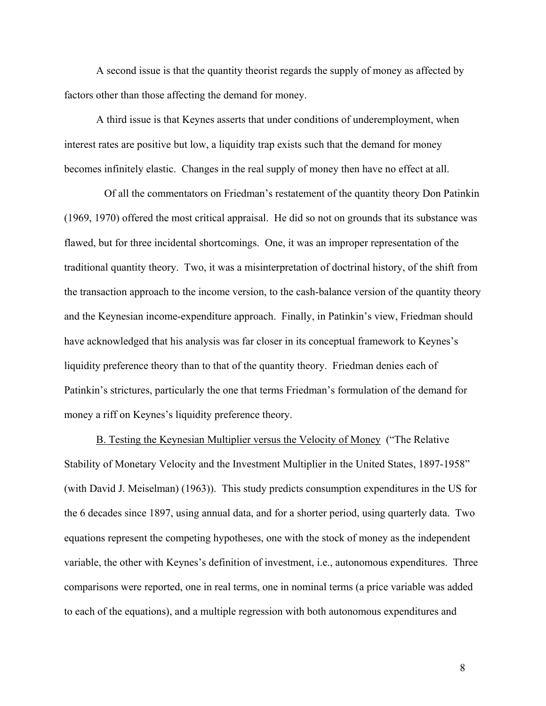A second issue is that the quantity theorist regards the supply of money as affected by factors other than those affecting the demand for money.

A third issue is that Keynes asserts that under conditions of underemployment, when interest rates are positive but low, a liquidity trap exists such that the demand for money becomes infinitely elastic. Changes in the real supply of money then have no effect at all.

 Of all the commentators on Friedman's restatement of the quantity theory Don Patinkin (1969, 1970) offered the most critical appraisal. He did so not on grounds that its substance was flawed, but for three incidental shortcomings. One, it was an improper representation of the traditional quantity theory. Two, it was a misinterpretation of doctrinal history, of the shift from the transaction approach to the income version, to the cash-balance version of the quantity theory and the Keynesian income-expenditure approach. Finally, in Patinkin's view, Friedman should have acknowledged that his analysis was far closer in its conceptual framework to Keynes's liquidity preference theory than to that of the quantity theory. Friedman denies each of Patinkin's strictures, particularly the one that terms Friedman's formulation of the demand for money a riff on Keynes's liquidity preference theory.

B. Testing the Keynesian Multiplier versus the Velocity of Money ("The Relative Stability of Monetary Velocity and the Investment Multiplier in the United States, 1897-1958" (with David J. Meiselman) (1963)). This study predicts consumption expenditures in the US for the 6 decades since 1897, using annual data, and for a shorter period, using quarterly data. Two equations represent the competing hypotheses, one with the stock of money as the independent variable, the other with Keynes's definition of investment, i.e., autonomous expenditures. Three comparisons were reported, one in real terms, one in nominal terms (a price variable was added to each of the equations), and a multiple regression with both autonomous expenditures and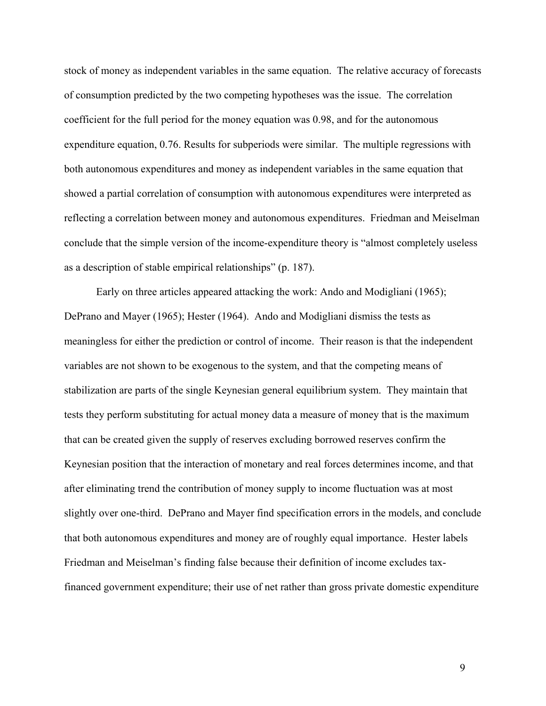stock of money as independent variables in the same equation. The relative accuracy of forecasts of consumption predicted by the two competing hypotheses was the issue. The correlation coefficient for the full period for the money equation was 0.98, and for the autonomous expenditure equation, 0.76. Results for subperiods were similar. The multiple regressions with both autonomous expenditures and money as independent variables in the same equation that showed a partial correlation of consumption with autonomous expenditures were interpreted as reflecting a correlation between money and autonomous expenditures. Friedman and Meiselman conclude that the simple version of the income-expenditure theory is "almost completely useless as a description of stable empirical relationships" (p. 187).

Early on three articles appeared attacking the work: Ando and Modigliani (1965); DePrano and Mayer (1965); Hester (1964). Ando and Modigliani dismiss the tests as meaningless for either the prediction or control of income. Their reason is that the independent variables are not shown to be exogenous to the system, and that the competing means of stabilization are parts of the single Keynesian general equilibrium system. They maintain that tests they perform substituting for actual money data a measure of money that is the maximum that can be created given the supply of reserves excluding borrowed reserves confirm the Keynesian position that the interaction of monetary and real forces determines income, and that after eliminating trend the contribution of money supply to income fluctuation was at most slightly over one-third. DePrano and Mayer find specification errors in the models, and conclude that both autonomous expenditures and money are of roughly equal importance. Hester labels Friedman and Meiselman's finding false because their definition of income excludes taxfinanced government expenditure; their use of net rather than gross private domestic expenditure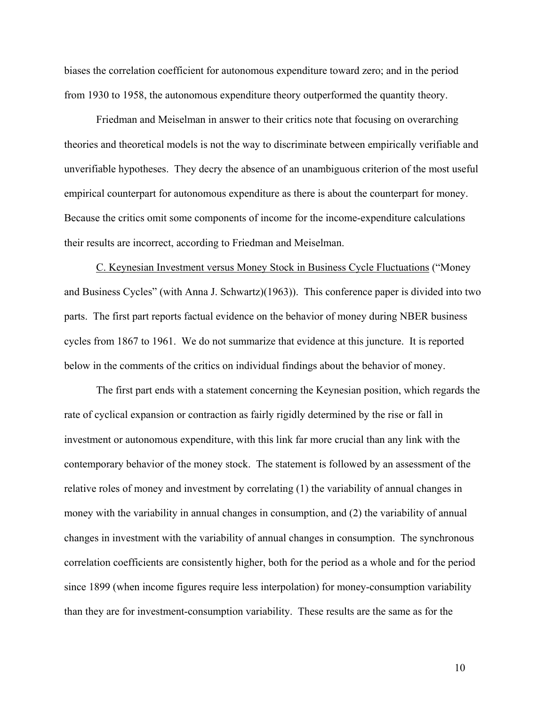biases the correlation coefficient for autonomous expenditure toward zero; and in the period from 1930 to 1958, the autonomous expenditure theory outperformed the quantity theory.

Friedman and Meiselman in answer to their critics note that focusing on overarching theories and theoretical models is not the way to discriminate between empirically verifiable and unverifiable hypotheses. They decry the absence of an unambiguous criterion of the most useful empirical counterpart for autonomous expenditure as there is about the counterpart for money. Because the critics omit some components of income for the income-expenditure calculations their results are incorrect, according to Friedman and Meiselman.

C. Keynesian Investment versus Money Stock in Business Cycle Fluctuations ("Money and Business Cycles" (with Anna J. Schwartz)(1963)). This conference paper is divided into two parts. The first part reports factual evidence on the behavior of money during NBER business cycles from 1867 to 1961. We do not summarize that evidence at this juncture. It is reported below in the comments of the critics on individual findings about the behavior of money.

The first part ends with a statement concerning the Keynesian position, which regards the rate of cyclical expansion or contraction as fairly rigidly determined by the rise or fall in investment or autonomous expenditure, with this link far more crucial than any link with the contemporary behavior of the money stock. The statement is followed by an assessment of the relative roles of money and investment by correlating (1) the variability of annual changes in money with the variability in annual changes in consumption, and (2) the variability of annual changes in investment with the variability of annual changes in consumption. The synchronous correlation coefficients are consistently higher, both for the period as a whole and for the period since 1899 (when income figures require less interpolation) for money-consumption variability than they are for investment-consumption variability. These results are the same as for the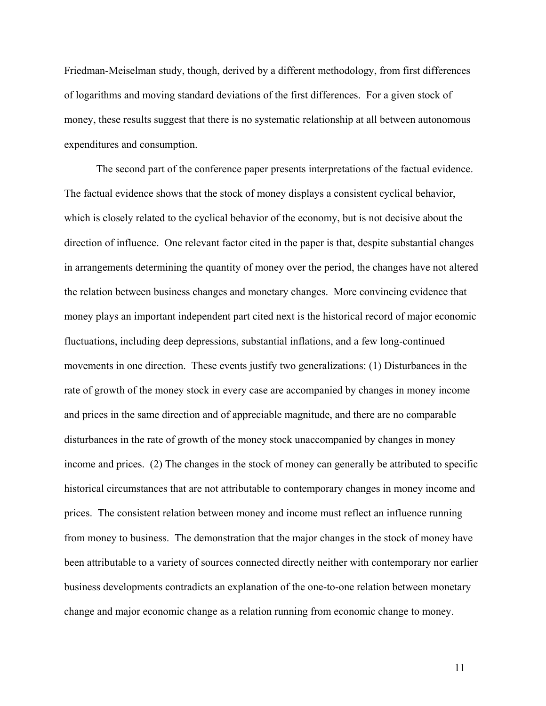Friedman-Meiselman study, though, derived by a different methodology, from first differences of logarithms and moving standard deviations of the first differences. For a given stock of money, these results suggest that there is no systematic relationship at all between autonomous expenditures and consumption.

The second part of the conference paper presents interpretations of the factual evidence. The factual evidence shows that the stock of money displays a consistent cyclical behavior, which is closely related to the cyclical behavior of the economy, but is not decisive about the direction of influence. One relevant factor cited in the paper is that, despite substantial changes in arrangements determining the quantity of money over the period, the changes have not altered the relation between business changes and monetary changes. More convincing evidence that money plays an important independent part cited next is the historical record of major economic fluctuations, including deep depressions, substantial inflations, and a few long-continued movements in one direction. These events justify two generalizations: (1) Disturbances in the rate of growth of the money stock in every case are accompanied by changes in money income and prices in the same direction and of appreciable magnitude, and there are no comparable disturbances in the rate of growth of the money stock unaccompanied by changes in money income and prices. (2) The changes in the stock of money can generally be attributed to specific historical circumstances that are not attributable to contemporary changes in money income and prices. The consistent relation between money and income must reflect an influence running from money to business. The demonstration that the major changes in the stock of money have been attributable to a variety of sources connected directly neither with contemporary nor earlier business developments contradicts an explanation of the one-to-one relation between monetary change and major economic change as a relation running from economic change to money.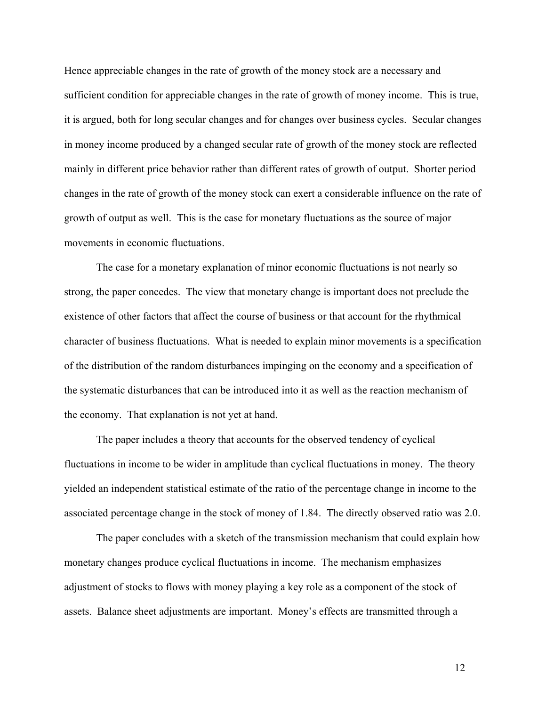Hence appreciable changes in the rate of growth of the money stock are a necessary and sufficient condition for appreciable changes in the rate of growth of money income. This is true, it is argued, both for long secular changes and for changes over business cycles. Secular changes in money income produced by a changed secular rate of growth of the money stock are reflected mainly in different price behavior rather than different rates of growth of output. Shorter period changes in the rate of growth of the money stock can exert a considerable influence on the rate of growth of output as well. This is the case for monetary fluctuations as the source of major movements in economic fluctuations.

The case for a monetary explanation of minor economic fluctuations is not nearly so strong, the paper concedes. The view that monetary change is important does not preclude the existence of other factors that affect the course of business or that account for the rhythmical character of business fluctuations. What is needed to explain minor movements is a specification of the distribution of the random disturbances impinging on the economy and a specification of the systematic disturbances that can be introduced into it as well as the reaction mechanism of the economy. That explanation is not yet at hand.

The paper includes a theory that accounts for the observed tendency of cyclical fluctuations in income to be wider in amplitude than cyclical fluctuations in money. The theory yielded an independent statistical estimate of the ratio of the percentage change in income to the associated percentage change in the stock of money of 1.84. The directly observed ratio was 2.0.

The paper concludes with a sketch of the transmission mechanism that could explain how monetary changes produce cyclical fluctuations in income. The mechanism emphasizes adjustment of stocks to flows with money playing a key role as a component of the stock of assets. Balance sheet adjustments are important. Money's effects are transmitted through a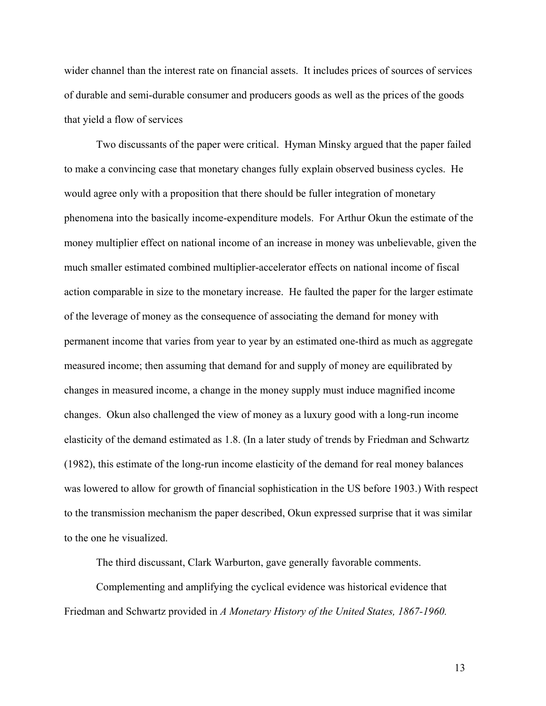wider channel than the interest rate on financial assets. It includes prices of sources of services of durable and semi-durable consumer and producers goods as well as the prices of the goods that yield a flow of services

Two discussants of the paper were critical. Hyman Minsky argued that the paper failed to make a convincing case that monetary changes fully explain observed business cycles. He would agree only with a proposition that there should be fuller integration of monetary phenomena into the basically income-expenditure models. For Arthur Okun the estimate of the money multiplier effect on national income of an increase in money was unbelievable, given the much smaller estimated combined multiplier-accelerator effects on national income of fiscal action comparable in size to the monetary increase. He faulted the paper for the larger estimate of the leverage of money as the consequence of associating the demand for money with permanent income that varies from year to year by an estimated one-third as much as aggregate measured income; then assuming that demand for and supply of money are equilibrated by changes in measured income, a change in the money supply must induce magnified income changes. Okun also challenged the view of money as a luxury good with a long-run income elasticity of the demand estimated as 1.8. (In a later study of trends by Friedman and Schwartz (1982), this estimate of the long-run income elasticity of the demand for real money balances was lowered to allow for growth of financial sophistication in the US before 1903.) With respect to the transmission mechanism the paper described, Okun expressed surprise that it was similar to the one he visualized.

The third discussant, Clark Warburton, gave generally favorable comments.

Complementing and amplifying the cyclical evidence was historical evidence that Friedman and Schwartz provided in *A Monetary History of the United States, 1867-1960.*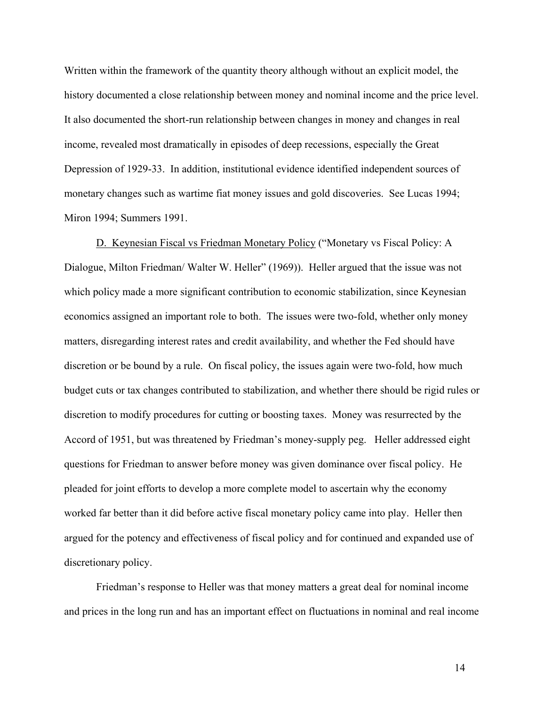Written within the framework of the quantity theory although without an explicit model, the history documented a close relationship between money and nominal income and the price level. It also documented the short-run relationship between changes in money and changes in real income, revealed most dramatically in episodes of deep recessions, especially the Great Depression of 1929-33. In addition, institutional evidence identified independent sources of monetary changes such as wartime fiat money issues and gold discoveries. See Lucas 1994; Miron 1994; Summers 1991.

 D. Keynesian Fiscal vs Friedman Monetary Policy ("Monetary vs Fiscal Policy: A Dialogue, Milton Friedman/ Walter W. Heller" (1969)). Heller argued that the issue was not which policy made a more significant contribution to economic stabilization, since Keynesian economics assigned an important role to both. The issues were two-fold, whether only money matters, disregarding interest rates and credit availability, and whether the Fed should have discretion or be bound by a rule. On fiscal policy, the issues again were two-fold, how much budget cuts or tax changes contributed to stabilization, and whether there should be rigid rules or discretion to modify procedures for cutting or boosting taxes. Money was resurrected by the Accord of 1951, but was threatened by Friedman's money-supply peg. Heller addressed eight questions for Friedman to answer before money was given dominance over fiscal policy. He pleaded for joint efforts to develop a more complete model to ascertain why the economy worked far better than it did before active fiscal monetary policy came into play. Heller then argued for the potency and effectiveness of fiscal policy and for continued and expanded use of discretionary policy.

Friedman's response to Heller was that money matters a great deal for nominal income and prices in the long run and has an important effect on fluctuations in nominal and real income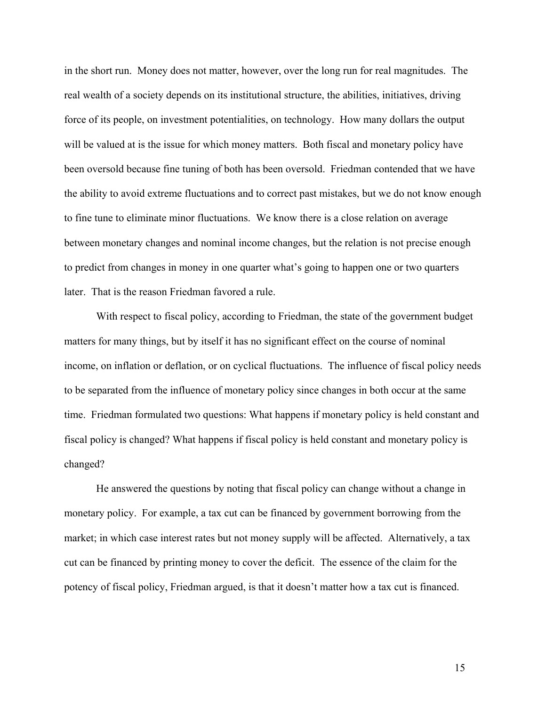in the short run. Money does not matter, however, over the long run for real magnitudes. The real wealth of a society depends on its institutional structure, the abilities, initiatives, driving force of its people, on investment potentialities, on technology. How many dollars the output will be valued at is the issue for which money matters. Both fiscal and monetary policy have been oversold because fine tuning of both has been oversold. Friedman contended that we have the ability to avoid extreme fluctuations and to correct past mistakes, but we do not know enough to fine tune to eliminate minor fluctuations. We know there is a close relation on average between monetary changes and nominal income changes, but the relation is not precise enough to predict from changes in money in one quarter what's going to happen one or two quarters later. That is the reason Friedman favored a rule.

With respect to fiscal policy, according to Friedman, the state of the government budget matters for many things, but by itself it has no significant effect on the course of nominal income, on inflation or deflation, or on cyclical fluctuations. The influence of fiscal policy needs to be separated from the influence of monetary policy since changes in both occur at the same time. Friedman formulated two questions: What happens if monetary policy is held constant and fiscal policy is changed? What happens if fiscal policy is held constant and monetary policy is changed?

He answered the questions by noting that fiscal policy can change without a change in monetary policy. For example, a tax cut can be financed by government borrowing from the market; in which case interest rates but not money supply will be affected. Alternatively, a tax cut can be financed by printing money to cover the deficit. The essence of the claim for the potency of fiscal policy, Friedman argued, is that it doesn't matter how a tax cut is financed.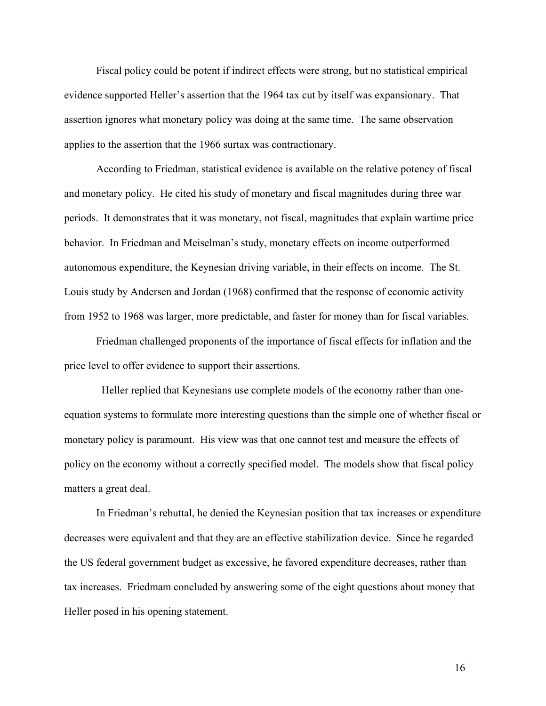Fiscal policy could be potent if indirect effects were strong, but no statistical empirical evidence supported Heller's assertion that the 1964 tax cut by itself was expansionary. That assertion ignores what monetary policy was doing at the same time. The same observation applies to the assertion that the 1966 surtax was contractionary.

According to Friedman, statistical evidence is available on the relative potency of fiscal and monetary policy. He cited his study of monetary and fiscal magnitudes during three war periods. It demonstrates that it was monetary, not fiscal, magnitudes that explain wartime price behavior. In Friedman and Meiselman's study, monetary effects on income outperformed autonomous expenditure, the Keynesian driving variable, in their effects on income. The St. Louis study by Andersen and Jordan (1968) confirmed that the response of economic activity from 1952 to 1968 was larger, more predictable, and faster for money than for fiscal variables.

Friedman challenged proponents of the importance of fiscal effects for inflation and the price level to offer evidence to support their assertions.

 Heller replied that Keynesians use complete models of the economy rather than oneequation systems to formulate more interesting questions than the simple one of whether fiscal or monetary policy is paramount. His view was that one cannot test and measure the effects of policy on the economy without a correctly specified model. The models show that fiscal policy matters a great deal.

In Friedman's rebuttal, he denied the Keynesian position that tax increases or expenditure decreases were equivalent and that they are an effective stabilization device. Since he regarded the US federal government budget as excessive, he favored expenditure decreases, rather than tax increases. Friedmam concluded by answering some of the eight questions about money that Heller posed in his opening statement.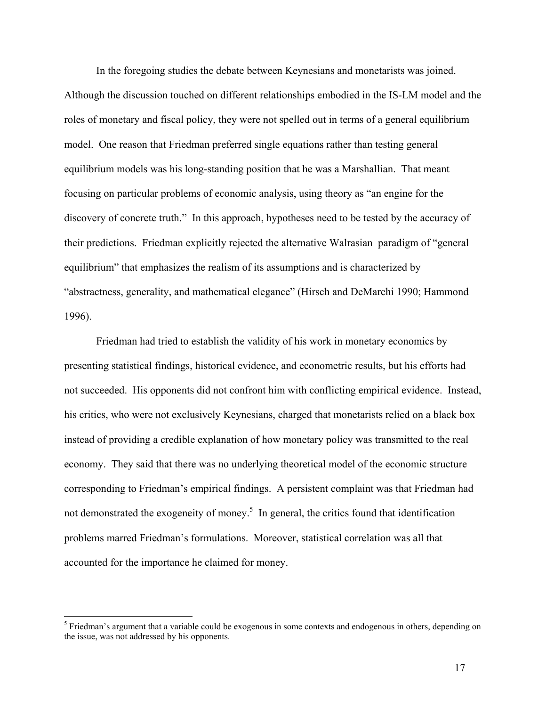In the foregoing studies the debate between Keynesians and monetarists was joined. Although the discussion touched on different relationships embodied in the IS-LM model and the roles of monetary and fiscal policy, they were not spelled out in terms of a general equilibrium model. One reason that Friedman preferred single equations rather than testing general equilibrium models was his long-standing position that he was a Marshallian. That meant focusing on particular problems of economic analysis, using theory as "an engine for the discovery of concrete truth." In this approach, hypotheses need to be tested by the accuracy of their predictions. Friedman explicitly rejected the alternative Walrasian paradigm of "general equilibrium" that emphasizes the realism of its assumptions and is characterized by "abstractness, generality, and mathematical elegance" (Hirsch and DeMarchi 1990; Hammond 1996).

Friedman had tried to establish the validity of his work in monetary economics by presenting statistical findings, historical evidence, and econometric results, but his efforts had not succeeded. His opponents did not confront him with conflicting empirical evidence. Instead, his critics, who were not exclusively Keynesians, charged that monetarists relied on a black box instead of providing a credible explanation of how monetary policy was transmitted to the real economy. They said that there was no underlying theoretical model of the economic structure corresponding to Friedman's empirical findings. A persistent complaint was that Friedman had not demonstrated the exogeneity of money.<sup>5</sup> In general, the critics found that identification problems marred Friedman's formulations. Moreover, statistical correlation was all that accounted for the importance he claimed for money.

<sup>&</sup>lt;sup>5</sup> Friedman's argument that a variable could be exogenous in some contexts and endogenous in others, depending on the issue, was not addressed by his opponents.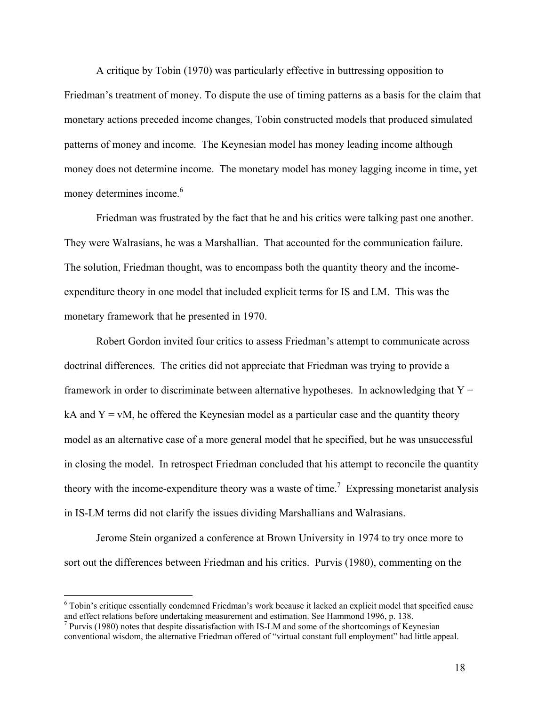A critique by Tobin (1970) was particularly effective in buttressing opposition to Friedman's treatment of money. To dispute the use of timing patterns as a basis for the claim that monetary actions preceded income changes, Tobin constructed models that produced simulated patterns of money and income. The Keynesian model has money leading income although money does not determine income. The monetary model has money lagging income in time, yet money determines income.<sup>6</sup>

Friedman was frustrated by the fact that he and his critics were talking past one another. They were Walrasians, he was a Marshallian. That accounted for the communication failure. The solution, Friedman thought, was to encompass both the quantity theory and the incomeexpenditure theory in one model that included explicit terms for IS and LM. This was the monetary framework that he presented in 1970.

Robert Gordon invited four critics to assess Friedman's attempt to communicate across doctrinal differences. The critics did not appreciate that Friedman was trying to provide a framework in order to discriminate between alternative hypotheses. In acknowledging that  $Y =$ kA and  $Y = vM$ , he offered the Keynesian model as a particular case and the quantity theory model as an alternative case of a more general model that he specified, but he was unsuccessful in closing the model. In retrospect Friedman concluded that his attempt to reconcile the quantity theory with the income-expenditure theory was a waste of time.<sup>7</sup> Expressing monetarist analysis in IS-LM terms did not clarify the issues dividing Marshallians and Walrasians.

Jerome Stein organized a conference at Brown University in 1974 to try once more to sort out the differences between Friedman and his critics. Purvis (1980), commenting on the

<sup>&</sup>lt;sup>6</sup> Tobin's critique essentially condemned Friedman's work because it lacked an explicit model that specified cause and effect relations before undertaking measurement and estimation. See Hammond 1996, p. 138.<br><sup>7</sup> Purvis (1980) notes that despite dissatisfaction with IS-LM and some of the shortcomings of Keynesian

conventional wisdom, the alternative Friedman offered of "virtual constant full employment" had little appeal.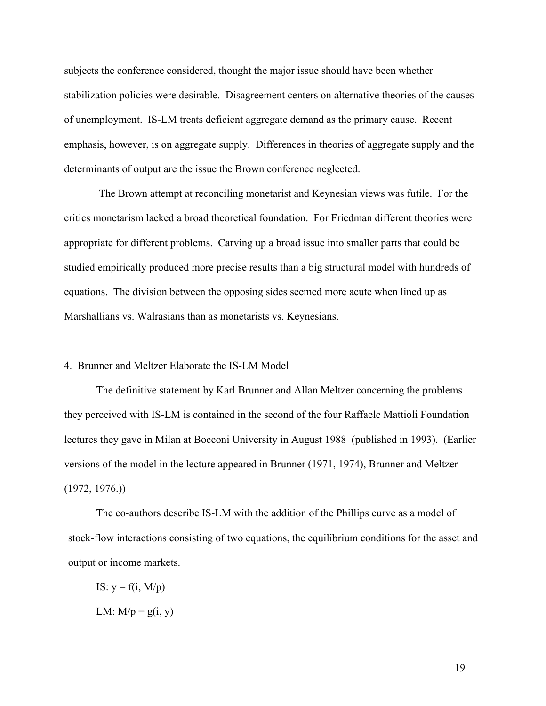subjects the conference considered, thought the major issue should have been whether stabilization policies were desirable. Disagreement centers on alternative theories of the causes of unemployment. IS-LM treats deficient aggregate demand as the primary cause. Recent emphasis, however, is on aggregate supply. Differences in theories of aggregate supply and the determinants of output are the issue the Brown conference neglected.

 The Brown attempt at reconciling monetarist and Keynesian views was futile. For the critics monetarism lacked a broad theoretical foundation. For Friedman different theories were appropriate for different problems. Carving up a broad issue into smaller parts that could be studied empirically produced more precise results than a big structural model with hundreds of equations. The division between the opposing sides seemed more acute when lined up as Marshallians vs. Walrasians than as monetarists vs. Keynesians.

## 4. Brunner and Meltzer Elaborate the IS-LM Model

 The definitive statement by Karl Brunner and Allan Meltzer concerning the problems they perceived with IS-LM is contained in the second of the four Raffaele Mattioli Foundation lectures they gave in Milan at Bocconi University in August 1988 (published in 1993). (Earlier versions of the model in the lecture appeared in Brunner (1971, 1974), Brunner and Meltzer (1972, 1976.))

The co-authors describe IS-LM with the addition of the Phillips curve as a model of stock-flow interactions consisting of two equations, the equilibrium conditions for the asset and output or income markets.

IS:  $y = f(i, M/p)$ LM:  $M/p = g(i, y)$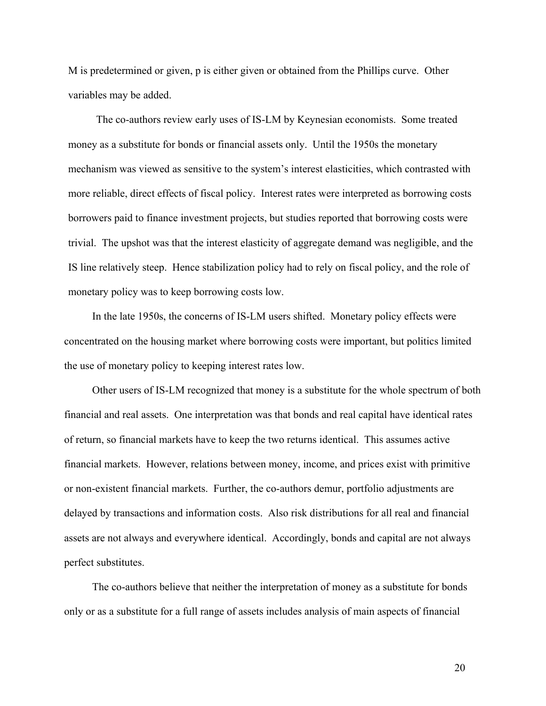M is predetermined or given, p is either given or obtained from the Phillips curve. Other variables may be added.

The co-authors review early uses of IS-LM by Keynesian economists. Some treated money as a substitute for bonds or financial assets only. Until the 1950s the monetary mechanism was viewed as sensitive to the system's interest elasticities, which contrasted with more reliable, direct effects of fiscal policy. Interest rates were interpreted as borrowing costs borrowers paid to finance investment projects, but studies reported that borrowing costs were trivial. The upshot was that the interest elasticity of aggregate demand was negligible, and the IS line relatively steep. Hence stabilization policy had to rely on fiscal policy, and the role of monetary policy was to keep borrowing costs low.

In the late 1950s, the concerns of IS-LM users shifted. Monetary policy effects were concentrated on the housing market where borrowing costs were important, but politics limited the use of monetary policy to keeping interest rates low.

Other users of IS-LM recognized that money is a substitute for the whole spectrum of both financial and real assets. One interpretation was that bonds and real capital have identical rates of return, so financial markets have to keep the two returns identical. This assumes active financial markets. However, relations between money, income, and prices exist with primitive or non-existent financial markets. Further, the co-authors demur, portfolio adjustments are delayed by transactions and information costs. Also risk distributions for all real and financial assets are not always and everywhere identical. Accordingly, bonds and capital are not always perfect substitutes.

The co-authors believe that neither the interpretation of money as a substitute for bonds only or as a substitute for a full range of assets includes analysis of main aspects of financial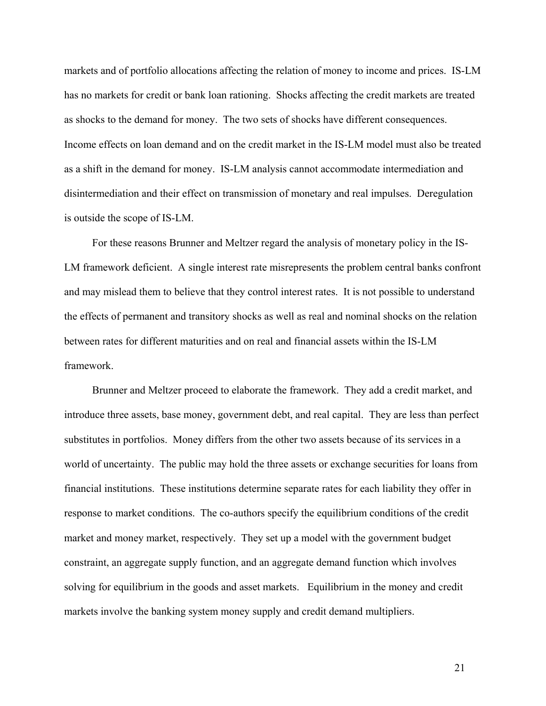markets and of portfolio allocations affecting the relation of money to income and prices. IS-LM has no markets for credit or bank loan rationing. Shocks affecting the credit markets are treated as shocks to the demand for money. The two sets of shocks have different consequences. Income effects on loan demand and on the credit market in the IS-LM model must also be treated as a shift in the demand for money. IS-LM analysis cannot accommodate intermediation and disintermediation and their effect on transmission of monetary and real impulses. Deregulation is outside the scope of IS-LM.

For these reasons Brunner and Meltzer regard the analysis of monetary policy in the IS-LM framework deficient. A single interest rate misrepresents the problem central banks confront and may mislead them to believe that they control interest rates. It is not possible to understand the effects of permanent and transitory shocks as well as real and nominal shocks on the relation between rates for different maturities and on real and financial assets within the IS-LM framework.

Brunner and Meltzer proceed to elaborate the framework. They add a credit market, and introduce three assets, base money, government debt, and real capital. They are less than perfect substitutes in portfolios. Money differs from the other two assets because of its services in a world of uncertainty. The public may hold the three assets or exchange securities for loans from financial institutions. These institutions determine separate rates for each liability they offer in response to market conditions. The co-authors specify the equilibrium conditions of the credit market and money market, respectively. They set up a model with the government budget constraint, an aggregate supply function, and an aggregate demand function which involves solving for equilibrium in the goods and asset markets. Equilibrium in the money and credit markets involve the banking system money supply and credit demand multipliers.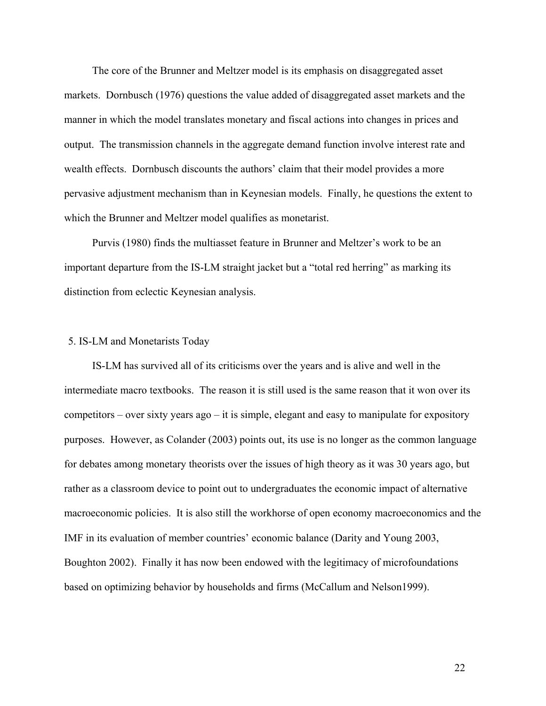The core of the Brunner and Meltzer model is its emphasis on disaggregated asset markets. Dornbusch (1976) questions the value added of disaggregated asset markets and the manner in which the model translates monetary and fiscal actions into changes in prices and output. The transmission channels in the aggregate demand function involve interest rate and wealth effects. Dornbusch discounts the authors' claim that their model provides a more pervasive adjustment mechanism than in Keynesian models. Finally, he questions the extent to which the Brunner and Meltzer model qualifies as monetarist.

Purvis (1980) finds the multiasset feature in Brunner and Meltzer's work to be an important departure from the IS-LM straight jacket but a "total red herring" as marking its distinction from eclectic Keynesian analysis.

#### 5. IS-LM and Monetarists Today

IS-LM has survived all of its criticisms over the years and is alive and well in the intermediate macro textbooks. The reason it is still used is the same reason that it won over its competitors – over sixty years ago – it is simple, elegant and easy to manipulate for expository purposes. However, as Colander (2003) points out, its use is no longer as the common language for debates among monetary theorists over the issues of high theory as it was 30 years ago, but rather as a classroom device to point out to undergraduates the economic impact of alternative macroeconomic policies. It is also still the workhorse of open economy macroeconomics and the IMF in its evaluation of member countries' economic balance (Darity and Young 2003, Boughton 2002). Finally it has now been endowed with the legitimacy of microfoundations based on optimizing behavior by households and firms (McCallum and Nelson1999).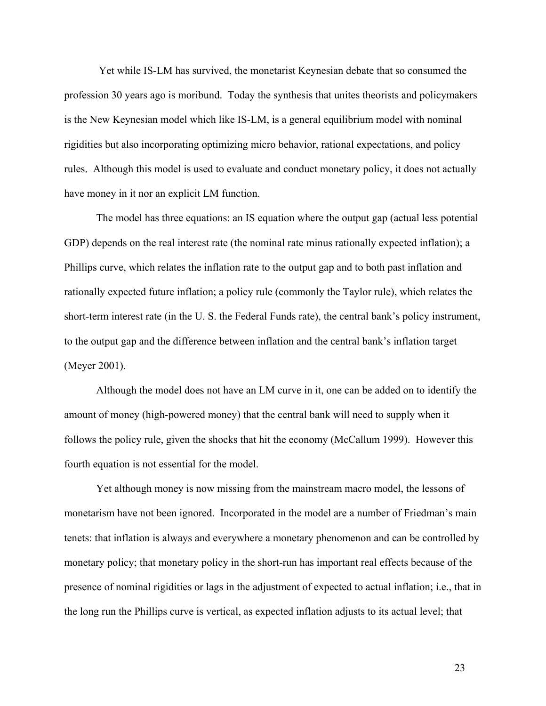Yet while IS-LM has survived, the monetarist Keynesian debate that so consumed the profession 30 years ago is moribund. Today the synthesis that unites theorists and policymakers is the New Keynesian model which like IS-LM, is a general equilibrium model with nominal rigidities but also incorporating optimizing micro behavior, rational expectations, and policy rules. Although this model is used to evaluate and conduct monetary policy, it does not actually have money in it nor an explicit LM function.

 The model has three equations: an IS equation where the output gap (actual less potential GDP) depends on the real interest rate (the nominal rate minus rationally expected inflation); a Phillips curve, which relates the inflation rate to the output gap and to both past inflation and rationally expected future inflation; a policy rule (commonly the Taylor rule), which relates the short-term interest rate (in the U. S. the Federal Funds rate), the central bank's policy instrument, to the output gap and the difference between inflation and the central bank's inflation target (Meyer 2001).

 Although the model does not have an LM curve in it, one can be added on to identify the amount of money (high-powered money) that the central bank will need to supply when it follows the policy rule, given the shocks that hit the economy (McCallum 1999). However this fourth equation is not essential for the model.

 Yet although money is now missing from the mainstream macro model, the lessons of monetarism have not been ignored. Incorporated in the model are a number of Friedman's main tenets: that inflation is always and everywhere a monetary phenomenon and can be controlled by monetary policy; that monetary policy in the short-run has important real effects because of the presence of nominal rigidities or lags in the adjustment of expected to actual inflation; i.e., that in the long run the Phillips curve is vertical, as expected inflation adjusts to its actual level; that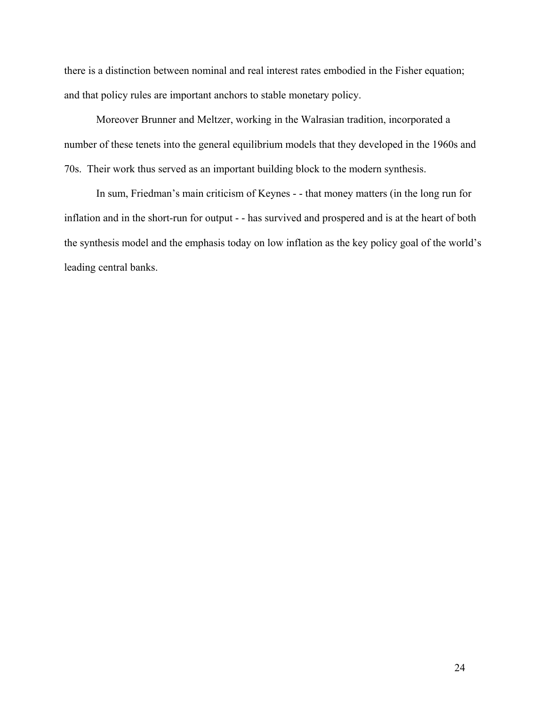there is a distinction between nominal and real interest rates embodied in the Fisher equation; and that policy rules are important anchors to stable monetary policy.

Moreover Brunner and Meltzer, working in the Walrasian tradition, incorporated a number of these tenets into the general equilibrium models that they developed in the 1960s and 70s. Their work thus served as an important building block to the modern synthesis.

 In sum, Friedman's main criticism of Keynes - - that money matters (in the long run for inflation and in the short-run for output - - has survived and prospered and is at the heart of both the synthesis model and the emphasis today on low inflation as the key policy goal of the world's leading central banks.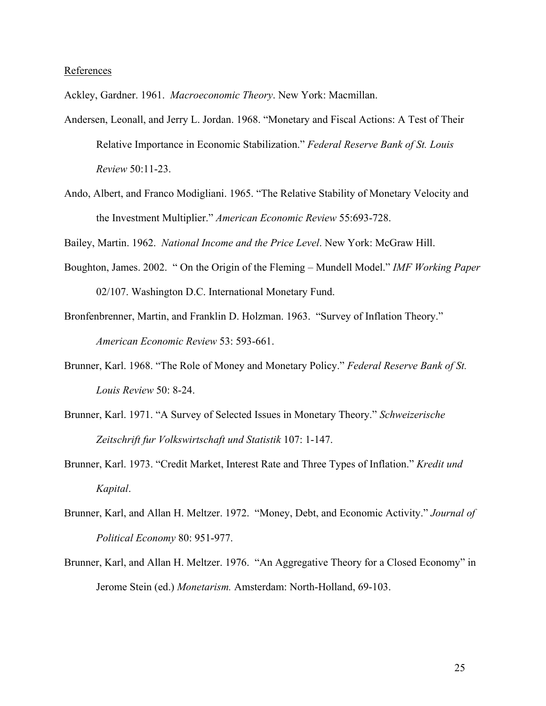## References

Ackley, Gardner. 1961. *Macroeconomic Theory*. New York: Macmillan.

- Andersen, Leonall, and Jerry L. Jordan. 1968. "Monetary and Fiscal Actions: A Test of Their Relative Importance in Economic Stabilization." *Federal Reserve Bank of St. Louis Review* 50:11-23.
- Ando, Albert, and Franco Modigliani. 1965. "The Relative Stability of Monetary Velocity and the Investment Multiplier." *American Economic Review* 55:693-728.

Bailey, Martin. 1962. *National Income and the Price Level*. New York: McGraw Hill.

- Boughton, James. 2002. " On the Origin of the Fleming Mundell Model." *IMF Working Paper* 02/107. Washington D.C. International Monetary Fund.
- Bronfenbrenner, Martin, and Franklin D. Holzman. 1963. "Survey of Inflation Theory." *American Economic Review* 53: 593-661.
- Brunner, Karl. 1968. "The Role of Money and Monetary Policy." *Federal Reserve Bank of St. Louis Review* 50: 8-24.
- Brunner, Karl. 1971. "A Survey of Selected Issues in Monetary Theory." *Schweizerische Zeitschrift fur Volkswirtschaft und Statistik* 107: 1-147.
- Brunner, Karl. 1973. "Credit Market, Interest Rate and Three Types of Inflation." *Kredit und Kapital*.
- Brunner, Karl, and Allan H. Meltzer. 1972. "Money, Debt, and Economic Activity." *Journal of Political Economy* 80: 951-977.
- Brunner, Karl, and Allan H. Meltzer. 1976. "An Aggregative Theory for a Closed Economy" in Jerome Stein (ed.) *Monetarism.* Amsterdam: North-Holland, 69-103.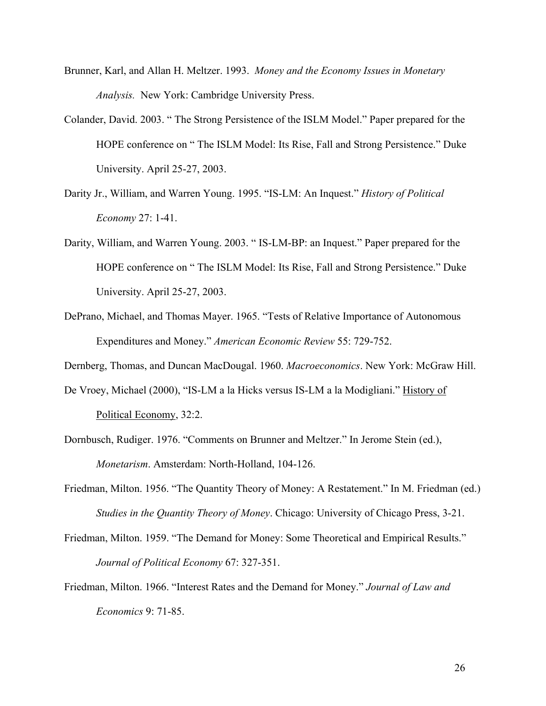- Brunner, Karl, and Allan H. Meltzer. 1993. *Money and the Economy Issues in Monetary Analysis.* New York: Cambridge University Press.
- Colander, David. 2003. " The Strong Persistence of the ISLM Model." Paper prepared for the HOPE conference on " The ISLM Model: Its Rise, Fall and Strong Persistence." Duke University. April 25-27, 2003.
- Darity Jr., William, and Warren Young. 1995. "IS-LM: An Inquest." *History of Political Economy* 27: 1-41.
- Darity, William, and Warren Young. 2003. " IS-LM-BP: an Inquest." Paper prepared for the HOPE conference on " The ISLM Model: Its Rise, Fall and Strong Persistence." Duke University. April 25-27, 2003.
- DePrano, Michael, and Thomas Mayer. 1965. "Tests of Relative Importance of Autonomous Expenditures and Money." *American Economic Review* 55: 729-752.

Dernberg, Thomas, and Duncan MacDougal. 1960. *Macroeconomics*. New York: McGraw Hill.

- De Vroey, Michael (2000), "IS-LM a la Hicks versus IS-LM a la Modigliani." History of Political Economy, 32:2.
- Dornbusch, Rudiger. 1976. "Comments on Brunner and Meltzer." In Jerome Stein (ed.), *Monetarism*. Amsterdam: North-Holland, 104-126.
- Friedman, Milton. 1956. "The Quantity Theory of Money: A Restatement." In M. Friedman (ed.) *Studies in the Quantity Theory of Money*. Chicago: University of Chicago Press, 3-21.
- Friedman, Milton. 1959. "The Demand for Money: Some Theoretical and Empirical Results." *Journal of Political Economy* 67: 327-351.
- Friedman, Milton. 1966. "Interest Rates and the Demand for Money." *Journal of Law and Economics* 9: 71-85.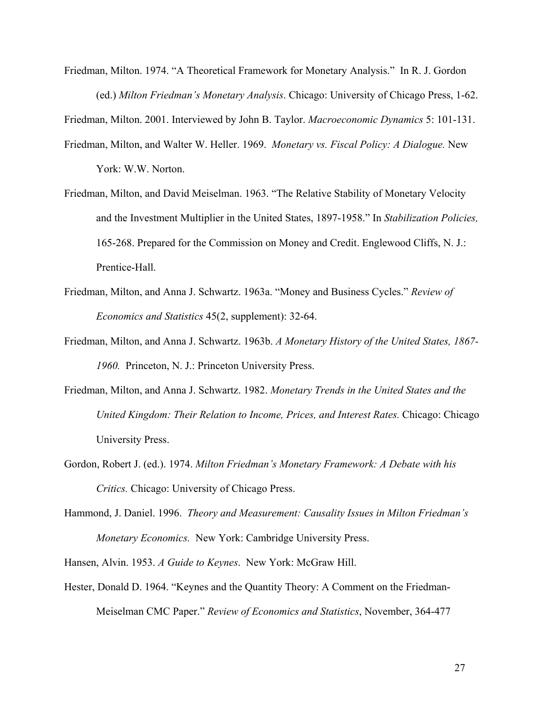Friedman, Milton. 1974. "A Theoretical Framework for Monetary Analysis." In R. J. Gordon (ed.) *Milton Friedman's Monetary Analysis*. Chicago: University of Chicago Press, 1-62.

Friedman, Milton. 2001. Interviewed by John B. Taylor. *Macroeconomic Dynamics* 5: 101-131.

- Friedman, Milton, and Walter W. Heller. 1969. *Monetary vs. Fiscal Policy: A Dialogue.* New York: W.W. Norton.
- Friedman, Milton, and David Meiselman. 1963. "The Relative Stability of Monetary Velocity and the Investment Multiplier in the United States, 1897-1958." In *Stabilization Policies,*  165-268. Prepared for the Commission on Money and Credit. Englewood Cliffs, N. J.: Prentice-Hall.
- Friedman, Milton, and Anna J. Schwartz. 1963a. "Money and Business Cycles." *Review of Economics and Statistics* 45(2, supplement): 32-64.
- Friedman, Milton, and Anna J. Schwartz. 1963b. *A Monetary History of the United States, 1867- 1960.* Princeton, N. J.: Princeton University Press.
- Friedman, Milton, and Anna J. Schwartz. 1982. *Monetary Trends in the United States and the United Kingdom: Their Relation to Income, Prices, and Interest Rates.* Chicago: Chicago University Press.
- Gordon, Robert J. (ed.). 1974. *Milton Friedman's Monetary Framework: A Debate with his Critics.* Chicago: University of Chicago Press.
- Hammond, J. Daniel. 1996. *Theory and Measurement: Causality Issues in Milton Friedman's Monetary Economics.* New York: Cambridge University Press.

Hansen, Alvin. 1953. *A Guide to Keynes*. New York: McGraw Hill.

Hester, Donald D. 1964. "Keynes and the Quantity Theory: A Comment on the Friedman-Meiselman CMC Paper." *Review of Economics and Statistics*, November, 364-477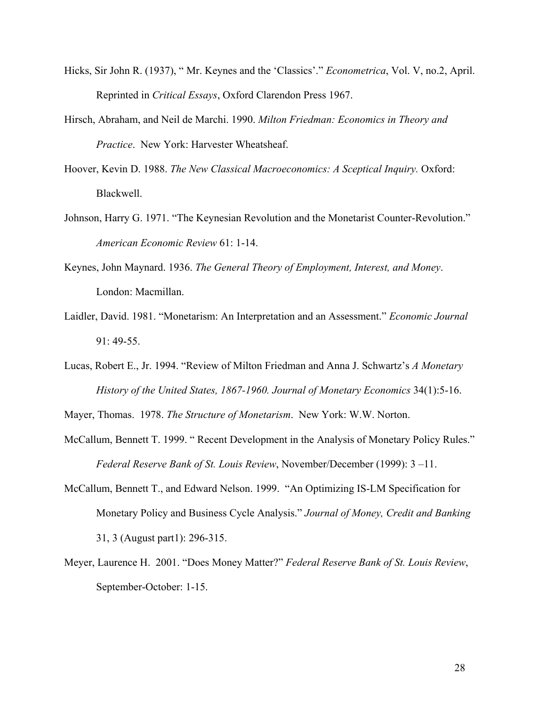- Hicks, Sir John R. (1937), " Mr. Keynes and the 'Classics'." *Econometrica*, Vol. V, no.2, April. Reprinted in *Critical Essays*, Oxford Clarendon Press 1967.
- Hirsch, Abraham, and Neil de Marchi. 1990. *Milton Friedman: Economics in Theory and Practice*. New York: Harvester Wheatsheaf.
- Hoover, Kevin D. 1988. *The New Classical Macroeconomics: A Sceptical Inquiry.* Oxford: Blackwell.
- Johnson, Harry G. 1971. "The Keynesian Revolution and the Monetarist Counter-Revolution." *American Economic Review* 61: 1-14.
- Keynes, John Maynard. 1936. *The General Theory of Employment, Interest, and Money*. London: Macmillan.
- Laidler, David. 1981. "Monetarism: An Interpretation and an Assessment." *Economic Journal* 91: 49-55.
- Lucas, Robert E., Jr. 1994. "Review of Milton Friedman and Anna J. Schwartz's *A Monetary History of the United States, 1867-1960. Journal of Monetary Economics* 34(1):5-16.
- Mayer, Thomas. 1978. *The Structure of Monetarism*. New York: W.W. Norton.
- McCallum, Bennett T. 1999. " Recent Development in the Analysis of Monetary Policy Rules." *Federal Reserve Bank of St. Louis Review*, November/December (1999): 3 –11.
- McCallum, Bennett T., and Edward Nelson. 1999. "An Optimizing IS-LM Specification for Monetary Policy and Business Cycle Analysis." *Journal of Money, Credit and Banking*  31, 3 (August part1): 296-315.
- Meyer, Laurence H. 2001. "Does Money Matter?" *Federal Reserve Bank of St. Louis Review*, September-October: 1-15.